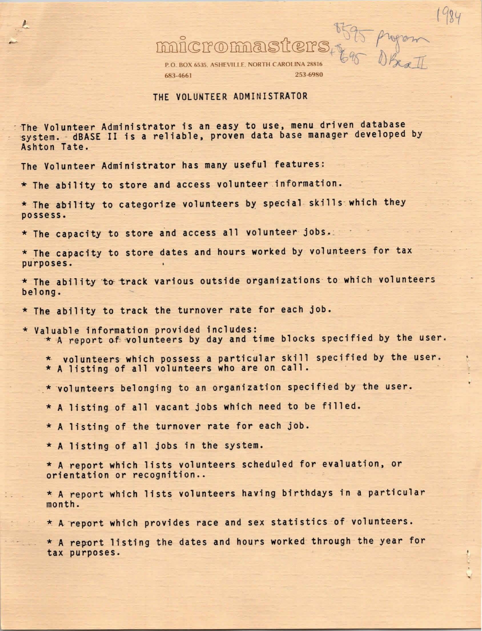## DililTI~IT@Dililru~lt@IT~ - ~~ *~'/nr-\_*

~~ *11&9* 

15 Pagam

P.O. BOX 6535, ASHEVILLE, NORTH CAROLINA 28816<br>683-4661 253-6980 683-4661

### THE VOLUNTEER ADMINISTRATOR

The Volunteer Administrator is an easy to use, menu driven database system. - dBASE II is a reliable, proven data base manager developed by Ashton Tate.

The Volunteer Administrator has many useful features:

\* The ability to store and access volunteer information.

\* The ability to categorize volunteers by special skills which they possess.

\* The capacity to store and access all volunteer jobs.

\* The capacity to store dates and hours worked by volunteers for tax purposes.

\* The ability to track various outside organizations to which volunteers belong.

\* The ability to track the turnover rate for each job.

- \* Valuable information provided includes: \* A report of volunteers by day and time blocks specified by the user.
	- \* volunteers which possess a particular skill specified by the user. \* A listing of all volunteers who are on call.
	- \* volunteers belonging to an organization specified by the user.
		- \* A listing of all vacant jobs which need to be filled.
		- \* A listing of the turnover rate for each job.

\* A listing of all jobs in the system.

\* A report which lists volunteers scheduled for evaluation, or orientation or recognition..

\* **A** report which lists volunteers having birthdays in a particular month.

\* A report which provides race and sex statistics of volunteers.

\* A report listing the dates and hours worked through the year for tax purposes.